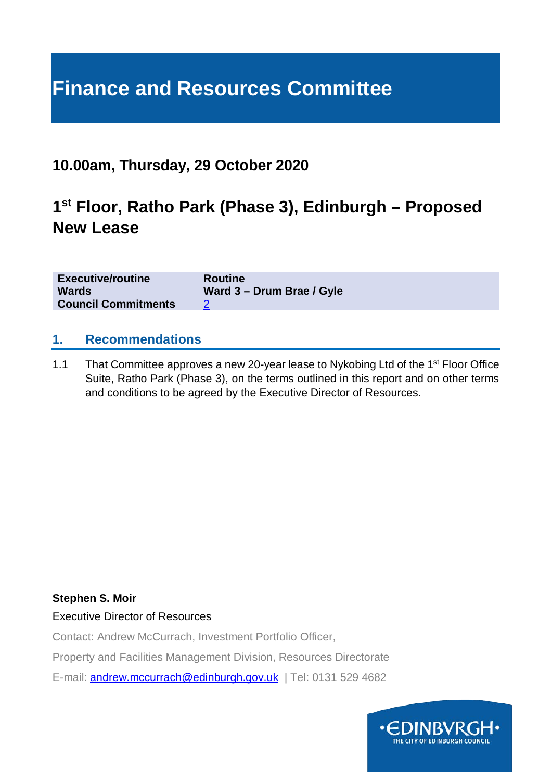# **Finance and Resources Committee**

### **10.00am, Thursday, 29 October 2020**

### **1st Floor, Ratho Park (Phase 3), Edinburgh – Proposed New Lease**

| <b>Executive/routine</b>   | <b>Routine</b>            |
|----------------------------|---------------------------|
| <b>Wards</b>               | Ward 3 - Drum Brae / Gyle |
| <b>Council Commitments</b> |                           |

#### **1. Recommendations**

1.1 That Committee approves a new 20-year lease to Nykobing Ltd of the 1<sup>st</sup> Floor Office Suite, Ratho Park (Phase 3), on the terms outlined in this report and on other terms and conditions to be agreed by the Executive Director of Resources.

#### **Stephen S. Moir**

Executive Director of Resources

Contact: Andrew McCurrach, Investment Portfolio Officer,

Property and Facilities Management Division, Resources Directorate

E-mail: [andrew.mccurrach@edinburgh.gov.uk](mailto:andrew.mccurrach@edinburgh.gov.uk) | Tel: 0131 529 4682

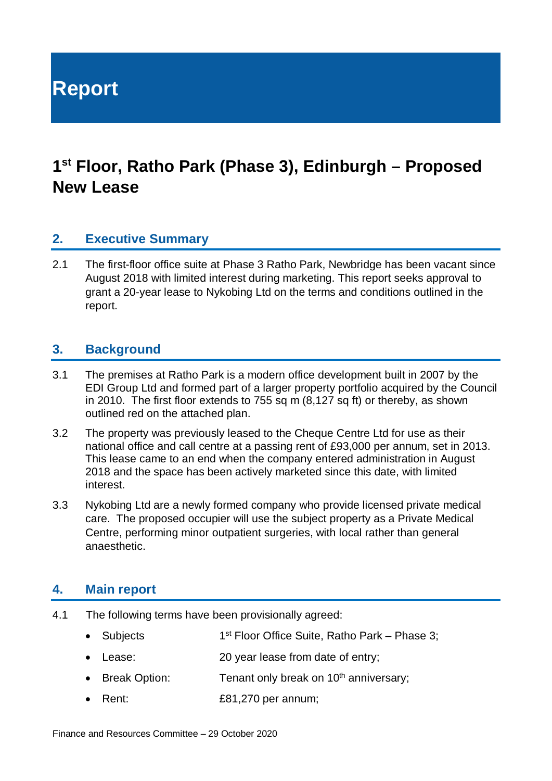**Report**

## **1st Floor, Ratho Park (Phase 3), Edinburgh – Proposed New Lease**

#### **2. Executive Summary**

2.1 The first-floor office suite at Phase 3 Ratho Park, Newbridge has been vacant since August 2018 with limited interest during marketing. This report seeks approval to grant a 20-year lease to Nykobing Ltd on the terms and conditions outlined in the report.

#### **3. Background**

- 3.1 The premises at Ratho Park is a modern office development built in 2007 by the EDI Group Ltd and formed part of a larger property portfolio acquired by the Council in 2010. The first floor extends to 755 sq m (8,127 sq ft) or thereby, as shown outlined red on the attached plan.
- 3.2 The property was previously leased to the Cheque Centre Ltd for use as their national office and call centre at a passing rent of £93,000 per annum, set in 2013. This lease came to an end when the company entered administration in August 2018 and the space has been actively marketed since this date, with limited interest.
- 3.3 Nykobing Ltd are a newly formed company who provide licensed private medical care. The proposed occupier will use the subject property as a Private Medical Centre, performing minor outpatient surgeries, with local rather than general anaesthetic.

#### **4. Main report**

- 4.1 The following terms have been provisionally agreed:
	- Subjects 1<sup>st</sup> Floor Office Suite, Ratho Park Phase 3;
	- Lease: 20 year lease from date of entry;
	- Break Option: Tenant only break on  $10<sup>th</sup>$  anniversary;
	- Rent: £81,270 per annum;

Finance and Resources Committee – 29 October 2020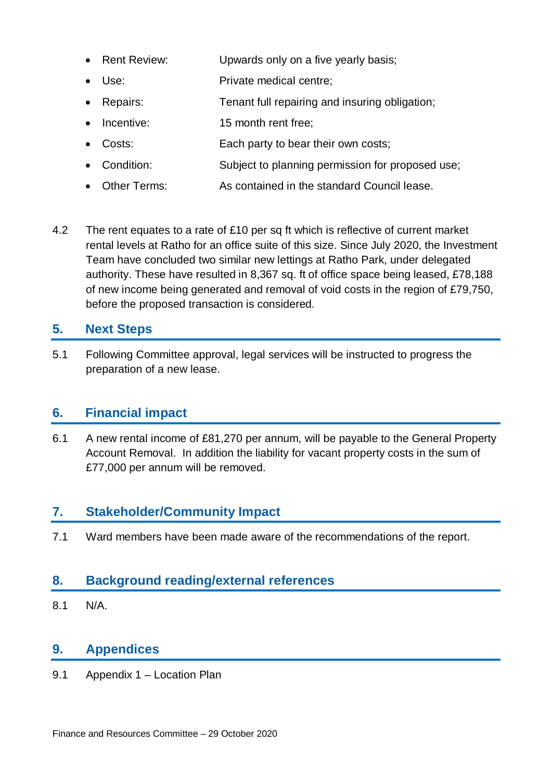- Rent Review: Upwards only on a five yearly basis;
- Use: Private medical centre:
- Repairs: Tenant full repairing and insuring obligation;
- Incentive: 15 month rent free:
- Costs: Each party to bear their own costs;
- Condition: Subject to planning permission for proposed use;
- Other Terms: As contained in the standard Council lease.
- 4.2 The rent equates to a rate of £10 per sq ft which is reflective of current market rental levels at Ratho for an office suite of this size. Since July 2020, the Investment Team have concluded two similar new lettings at Ratho Park, under delegated authority. These have resulted in 8,367 sq. ft of office space being leased, £78,188 of new income being generated and removal of void costs in the region of £79,750, before the proposed transaction is considered.

#### **5. Next Steps**

5.1 Following Committee approval, legal services will be instructed to progress the preparation of a new lease.

#### **6. Financial impact**

6.1 A new rental income of £81,270 per annum, will be payable to the General Property Account Removal. In addition the liability for vacant property costs in the sum of £77,000 per annum will be removed.

#### **7. Stakeholder/Community Impact**

7.1 Ward members have been made aware of the recommendations of the report.

#### **8. Background reading/external references**

8.1 N/A.

#### **9. Appendices**

9.1 Appendix 1 – Location Plan